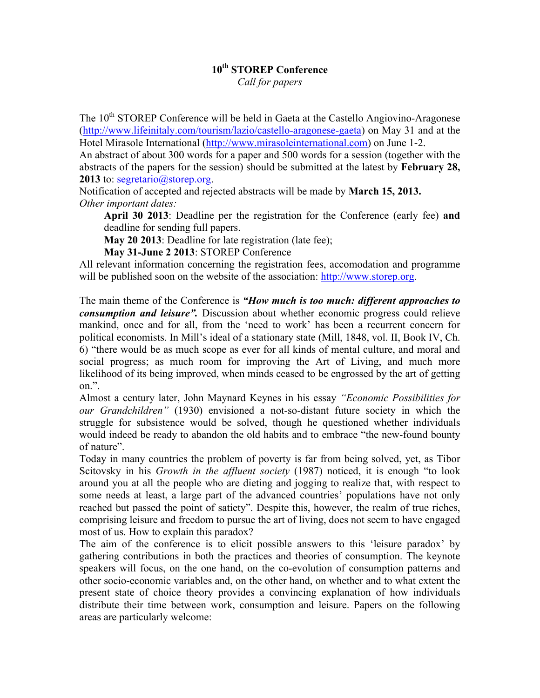## **10th STOREP Conference**

*Call for papers*

The 10<sup>th</sup> STOREP Conference will be held in Gaeta at the Castello Angiovino-Aragonese (http://www.lifeinitaly.com/tourism/lazio/castello-aragonese-gaeta) on May 31 and at the Hotel Mirasole International (http://www.mirasoleinternational.com) on June 1-2.

An abstract of about 300 words for a paper and 500 words for a session (together with the abstracts of the papers for the session) should be submitted at the latest by **February 28, 2013** to: segretario@storep.org.

Notification of accepted and rejected abstracts will be made by **March 15, 2013.** *Other important dates:* 

**April 30 2013**: Deadline per the registration for the Conference (early fee) **and** deadline for sending full papers.

**May 20 2013**: Deadline for late registration (late fee);

**May 31-June 2 2013**: STOREP Conference

All relevant information concerning the registration fees, accomodation and programme will be published soon on the website of the association: http://www.storep.org.

The main theme of the Conference is *"How much is too much: different approaches to consumption and leisure".* Discussion about whether economic progress could relieve mankind, once and for all, from the 'need to work' has been a recurrent concern for political economists. In Mill's ideal of a stationary state (Mill, 1848, vol. II, Book IV, Ch. 6) "there would be as much scope as ever for all kinds of mental culture, and moral and social progress; as much room for improving the Art of Living, and much more likelihood of its being improved, when minds ceased to be engrossed by the art of getting on.".

Almost a century later, John Maynard Keynes in his essay *"Economic Possibilities for our Grandchildren"* (1930) envisioned a not-so-distant future society in which the struggle for subsistence would be solved, though he questioned whether individuals would indeed be ready to abandon the old habits and to embrace "the new-found bounty of nature".

Today in many countries the problem of poverty is far from being solved, yet, as Tibor Scitovsky in his *Growth in the affluent society* (1987) noticed, it is enough "to look around you at all the people who are dieting and jogging to realize that, with respect to some needs at least, a large part of the advanced countries' populations have not only reached but passed the point of satiety". Despite this, however, the realm of true riches, comprising leisure and freedom to pursue the art of living, does not seem to have engaged most of us. How to explain this paradox?

The aim of the conference is to elicit possible answers to this 'leisure paradox' by gathering contributions in both the practices and theories of consumption. The keynote speakers will focus, on the one hand, on the co-evolution of consumption patterns and other socio-economic variables and, on the other hand, on whether and to what extent the present state of choice theory provides a convincing explanation of how individuals distribute their time between work, consumption and leisure. Papers on the following areas are particularly welcome: